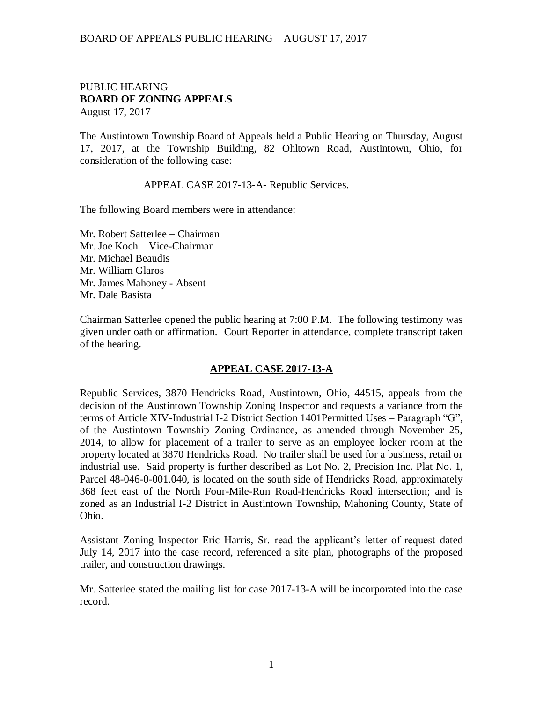#### BOARD OF APPEALS PUBLIC HEARING – AUGUST 17, 2017

#### PUBLIC HEARING **BOARD OF ZONING APPEALS**  August 17, 2017

The Austintown Township Board of Appeals held a Public Hearing on Thursday, August 17, 2017, at the Township Building, 82 Ohltown Road, Austintown, Ohio, for consideration of the following case:

APPEAL CASE 2017-13-A- Republic Services.

The following Board members were in attendance:

Mr. Robert Satterlee – Chairman Mr. Joe Koch – Vice-Chairman Mr. Michael Beaudis Mr. William Glaros Mr. James Mahoney - Absent Mr. Dale Basista

Chairman Satterlee opened the public hearing at 7:00 P.M. The following testimony was given under oath or affirmation. Court Reporter in attendance, complete transcript taken of the hearing.

## **APPEAL CASE 2017-13-A**

Republic Services, 3870 Hendricks Road, Austintown, Ohio, 44515, appeals from the decision of the Austintown Township Zoning Inspector and requests a variance from the terms of Article XIV-Industrial I-2 District Section 1401Permitted Uses – Paragraph "G", of the Austintown Township Zoning Ordinance, as amended through November 25, 2014, to allow for placement of a trailer to serve as an employee locker room at the property located at 3870 Hendricks Road. No trailer shall be used for a business, retail or industrial use. Said property is further described as Lot No. 2, Precision Inc. Plat No. 1, Parcel 48-046-0-001.040, is located on the south side of Hendricks Road, approximately 368 feet east of the North Four-Mile-Run Road-Hendricks Road intersection; and is zoned as an Industrial I-2 District in Austintown Township, Mahoning County, State of Ohio.

Assistant Zoning Inspector Eric Harris, Sr. read the applicant's letter of request dated July 14, 2017 into the case record, referenced a site plan, photographs of the proposed trailer, and construction drawings.

Mr. Satterlee stated the mailing list for case 2017-13-A will be incorporated into the case record.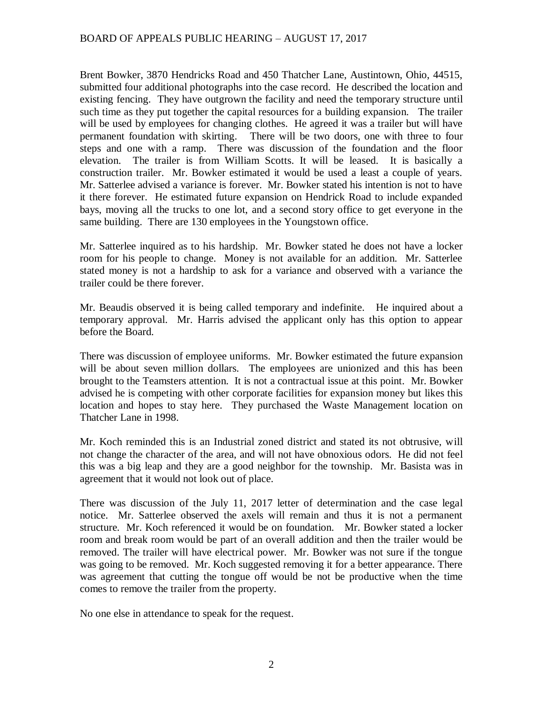## BOARD OF APPEALS PUBLIC HEARING – AUGUST 17, 2017

Brent Bowker, 3870 Hendricks Road and 450 Thatcher Lane, Austintown, Ohio, 44515, submitted four additional photographs into the case record. He described the location and existing fencing. They have outgrown the facility and need the temporary structure until such time as they put together the capital resources for a building expansion. The trailer will be used by employees for changing clothes. He agreed it was a trailer but will have permanent foundation with skirting. There will be two doors, one with three to four steps and one with a ramp. There was discussion of the foundation and the floor elevation. The trailer is from William Scotts. It will be leased. It is basically a construction trailer. Mr. Bowker estimated it would be used a least a couple of years. Mr. Satterlee advised a variance is forever. Mr. Bowker stated his intention is not to have it there forever. He estimated future expansion on Hendrick Road to include expanded bays, moving all the trucks to one lot, and a second story office to get everyone in the same building. There are 130 employees in the Youngstown office.

Mr. Satterlee inquired as to his hardship. Mr. Bowker stated he does not have a locker room for his people to change. Money is not available for an addition. Mr. Satterlee stated money is not a hardship to ask for a variance and observed with a variance the trailer could be there forever.

Mr. Beaudis observed it is being called temporary and indefinite. He inquired about a temporary approval. Mr. Harris advised the applicant only has this option to appear before the Board.

There was discussion of employee uniforms. Mr. Bowker estimated the future expansion will be about seven million dollars. The employees are unionized and this has been brought to the Teamsters attention. It is not a contractual issue at this point. Mr. Bowker advised he is competing with other corporate facilities for expansion money but likes this location and hopes to stay here. They purchased the Waste Management location on Thatcher Lane in 1998.

Mr. Koch reminded this is an Industrial zoned district and stated its not obtrusive, will not change the character of the area, and will not have obnoxious odors. He did not feel this was a big leap and they are a good neighbor for the township. Mr. Basista was in agreement that it would not look out of place.

There was discussion of the July 11, 2017 letter of determination and the case legal notice. Mr. Satterlee observed the axels will remain and thus it is not a permanent structure. Mr. Koch referenced it would be on foundation. Mr. Bowker stated a locker room and break room would be part of an overall addition and then the trailer would be removed. The trailer will have electrical power. Mr. Bowker was not sure if the tongue was going to be removed. Mr. Koch suggested removing it for a better appearance. There was agreement that cutting the tongue off would be not be productive when the time comes to remove the trailer from the property.

No one else in attendance to speak for the request.